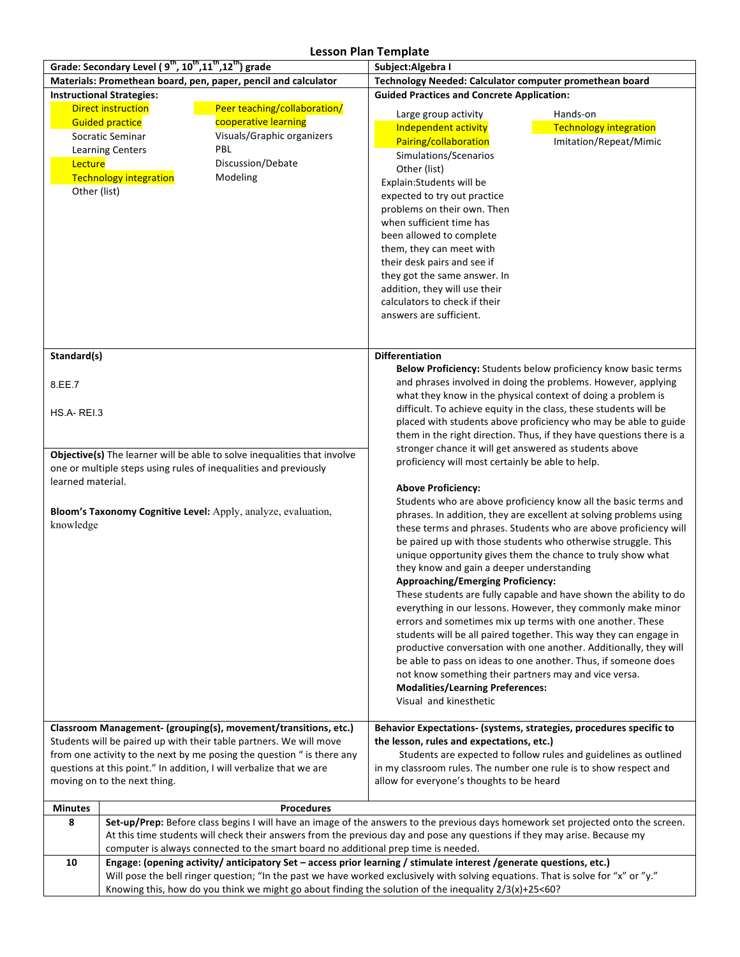## **Lesson Plan Template**

|                                                                                                                          | בכססטורו ומור וכווופומנכ<br>Grade: Secondary Level (9 <sup>th</sup> , 10 <sup>th</sup> , 11 <sup>th</sup> , 12 <sup>th</sup> ) grade<br>Subject: Algebra I |                                                                                                                                   |                                                                                                                                                                                                                                                                                                                                                                                        |                                                                                                                                        |  |  |
|--------------------------------------------------------------------------------------------------------------------------|------------------------------------------------------------------------------------------------------------------------------------------------------------|-----------------------------------------------------------------------------------------------------------------------------------|----------------------------------------------------------------------------------------------------------------------------------------------------------------------------------------------------------------------------------------------------------------------------------------------------------------------------------------------------------------------------------------|----------------------------------------------------------------------------------------------------------------------------------------|--|--|
| Materials: Promethean board, pen, paper, pencil and calculator                                                           |                                                                                                                                                            |                                                                                                                                   | Technology Needed: Calculator computer promethean board                                                                                                                                                                                                                                                                                                                                |                                                                                                                                        |  |  |
| <b>Instructional Strategies:</b>                                                                                         |                                                                                                                                                            |                                                                                                                                   | <b>Guided Practices and Concrete Application:</b>                                                                                                                                                                                                                                                                                                                                      |                                                                                                                                        |  |  |
|                                                                                                                          | <b>Direct instruction</b>                                                                                                                                  | Peer teaching/collaboration/                                                                                                      |                                                                                                                                                                                                                                                                                                                                                                                        |                                                                                                                                        |  |  |
|                                                                                                                          | <b>Guided practice</b>                                                                                                                                     | cooperative learning                                                                                                              | Large group activity                                                                                                                                                                                                                                                                                                                                                                   | Hands-on                                                                                                                               |  |  |
|                                                                                                                          | Socratic Seminar                                                                                                                                           | Visuals/Graphic organizers                                                                                                        | Independent activity                                                                                                                                                                                                                                                                                                                                                                   | <b>Technology integration</b>                                                                                                          |  |  |
|                                                                                                                          | <b>Learning Centers</b>                                                                                                                                    | PBL                                                                                                                               | Pairing/collaboration                                                                                                                                                                                                                                                                                                                                                                  | Imitation/Repeat/Mimic                                                                                                                 |  |  |
| Lecture                                                                                                                  |                                                                                                                                                            | Discussion/Debate                                                                                                                 | Simulations/Scenarios                                                                                                                                                                                                                                                                                                                                                                  |                                                                                                                                        |  |  |
|                                                                                                                          | <b>Technology integration</b>                                                                                                                              | Modeling                                                                                                                          | Other (list)<br>Explain:Students will be                                                                                                                                                                                                                                                                                                                                               |                                                                                                                                        |  |  |
| Other (list)                                                                                                             |                                                                                                                                                            |                                                                                                                                   | expected to try out practice                                                                                                                                                                                                                                                                                                                                                           |                                                                                                                                        |  |  |
|                                                                                                                          |                                                                                                                                                            |                                                                                                                                   | problems on their own. Then                                                                                                                                                                                                                                                                                                                                                            |                                                                                                                                        |  |  |
|                                                                                                                          |                                                                                                                                                            |                                                                                                                                   | when sufficient time has                                                                                                                                                                                                                                                                                                                                                               |                                                                                                                                        |  |  |
|                                                                                                                          |                                                                                                                                                            |                                                                                                                                   | been allowed to complete                                                                                                                                                                                                                                                                                                                                                               |                                                                                                                                        |  |  |
|                                                                                                                          |                                                                                                                                                            |                                                                                                                                   | them, they can meet with                                                                                                                                                                                                                                                                                                                                                               |                                                                                                                                        |  |  |
|                                                                                                                          |                                                                                                                                                            |                                                                                                                                   | their desk pairs and see if                                                                                                                                                                                                                                                                                                                                                            |                                                                                                                                        |  |  |
|                                                                                                                          |                                                                                                                                                            |                                                                                                                                   | they got the same answer. In                                                                                                                                                                                                                                                                                                                                                           |                                                                                                                                        |  |  |
|                                                                                                                          |                                                                                                                                                            |                                                                                                                                   | addition, they will use their                                                                                                                                                                                                                                                                                                                                                          |                                                                                                                                        |  |  |
|                                                                                                                          |                                                                                                                                                            |                                                                                                                                   | calculators to check if their                                                                                                                                                                                                                                                                                                                                                          |                                                                                                                                        |  |  |
|                                                                                                                          |                                                                                                                                                            |                                                                                                                                   | answers are sufficient.                                                                                                                                                                                                                                                                                                                                                                |                                                                                                                                        |  |  |
|                                                                                                                          |                                                                                                                                                            |                                                                                                                                   |                                                                                                                                                                                                                                                                                                                                                                                        |                                                                                                                                        |  |  |
| Standard(s)                                                                                                              |                                                                                                                                                            |                                                                                                                                   | <b>Differentiation</b>                                                                                                                                                                                                                                                                                                                                                                 |                                                                                                                                        |  |  |
|                                                                                                                          |                                                                                                                                                            |                                                                                                                                   | Below Proficiency: Students below proficiency know basic terms<br>and phrases involved in doing the problems. However, applying<br>what they know in the physical context of doing a problem is                                                                                                                                                                                        |                                                                                                                                        |  |  |
| 8.EE.7                                                                                                                   |                                                                                                                                                            |                                                                                                                                   |                                                                                                                                                                                                                                                                                                                                                                                        |                                                                                                                                        |  |  |
|                                                                                                                          |                                                                                                                                                            |                                                                                                                                   |                                                                                                                                                                                                                                                                                                                                                                                        |                                                                                                                                        |  |  |
| HS.A-REI.3                                                                                                               |                                                                                                                                                            |                                                                                                                                   |                                                                                                                                                                                                                                                                                                                                                                                        | difficult. To achieve equity in the class, these students will be                                                                      |  |  |
|                                                                                                                          |                                                                                                                                                            |                                                                                                                                   |                                                                                                                                                                                                                                                                                                                                                                                        | placed with students above proficiency who may be able to guide                                                                        |  |  |
|                                                                                                                          |                                                                                                                                                            |                                                                                                                                   | them in the right direction. Thus, if they have questions there is a<br>stronger chance it will get answered as students above<br>proficiency will most certainly be able to help.                                                                                                                                                                                                     |                                                                                                                                        |  |  |
|                                                                                                                          |                                                                                                                                                            | Objective(s) The learner will be able to solve inequalities that involve                                                          |                                                                                                                                                                                                                                                                                                                                                                                        |                                                                                                                                        |  |  |
|                                                                                                                          |                                                                                                                                                            | one or multiple steps using rules of inequalities and previously                                                                  |                                                                                                                                                                                                                                                                                                                                                                                        |                                                                                                                                        |  |  |
| learned material.                                                                                                        |                                                                                                                                                            |                                                                                                                                   | <b>Above Proficiency:</b>                                                                                                                                                                                                                                                                                                                                                              |                                                                                                                                        |  |  |
|                                                                                                                          |                                                                                                                                                            |                                                                                                                                   |                                                                                                                                                                                                                                                                                                                                                                                        |                                                                                                                                        |  |  |
|                                                                                                                          |                                                                                                                                                            | Bloom's Taxonomy Cognitive Level: Apply, analyze, evaluation,                                                                     | Students who are above proficiency know all the basic terms and<br>phrases. In addition, they are excellent at solving problems using<br>these terms and phrases. Students who are above proficiency will<br>be paired up with those students who otherwise struggle. This<br>unique opportunity gives them the chance to truly show what<br>they know and gain a deeper understanding |                                                                                                                                        |  |  |
| knowledge                                                                                                                |                                                                                                                                                            |                                                                                                                                   |                                                                                                                                                                                                                                                                                                                                                                                        |                                                                                                                                        |  |  |
|                                                                                                                          |                                                                                                                                                            |                                                                                                                                   |                                                                                                                                                                                                                                                                                                                                                                                        |                                                                                                                                        |  |  |
|                                                                                                                          |                                                                                                                                                            |                                                                                                                                   |                                                                                                                                                                                                                                                                                                                                                                                        |                                                                                                                                        |  |  |
|                                                                                                                          |                                                                                                                                                            |                                                                                                                                   |                                                                                                                                                                                                                                                                                                                                                                                        |                                                                                                                                        |  |  |
|                                                                                                                          |                                                                                                                                                            |                                                                                                                                   | <b>Approaching/Emerging Proficiency:</b>                                                                                                                                                                                                                                                                                                                                               |                                                                                                                                        |  |  |
|                                                                                                                          |                                                                                                                                                            |                                                                                                                                   |                                                                                                                                                                                                                                                                                                                                                                                        | These students are fully capable and have shown the ability to do                                                                      |  |  |
|                                                                                                                          |                                                                                                                                                            |                                                                                                                                   |                                                                                                                                                                                                                                                                                                                                                                                        | everything in our lessons. However, they commonly make minor                                                                           |  |  |
|                                                                                                                          |                                                                                                                                                            |                                                                                                                                   |                                                                                                                                                                                                                                                                                                                                                                                        | errors and sometimes mix up terms with one another. These                                                                              |  |  |
|                                                                                                                          |                                                                                                                                                            |                                                                                                                                   |                                                                                                                                                                                                                                                                                                                                                                                        | students will be all paired together. This way they can engage in<br>productive conversation with one another. Additionally, they will |  |  |
|                                                                                                                          |                                                                                                                                                            |                                                                                                                                   |                                                                                                                                                                                                                                                                                                                                                                                        | be able to pass on ideas to one another. Thus, if someone does                                                                         |  |  |
|                                                                                                                          |                                                                                                                                                            |                                                                                                                                   | not know something their partners may and vice versa.                                                                                                                                                                                                                                                                                                                                  |                                                                                                                                        |  |  |
|                                                                                                                          |                                                                                                                                                            |                                                                                                                                   | <b>Modalities/Learning Preferences:</b>                                                                                                                                                                                                                                                                                                                                                |                                                                                                                                        |  |  |
|                                                                                                                          |                                                                                                                                                            |                                                                                                                                   | Visual and kinesthetic                                                                                                                                                                                                                                                                                                                                                                 |                                                                                                                                        |  |  |
|                                                                                                                          |                                                                                                                                                            |                                                                                                                                   |                                                                                                                                                                                                                                                                                                                                                                                        |                                                                                                                                        |  |  |
|                                                                                                                          | Classroom Management- (grouping(s), movement/transitions, etc.)                                                                                            |                                                                                                                                   | Behavior Expectations- (systems, strategies, procedures specific to                                                                                                                                                                                                                                                                                                                    |                                                                                                                                        |  |  |
|                                                                                                                          |                                                                                                                                                            | Students will be paired up with their table partners. We will move                                                                | the lesson, rules and expectations, etc.)                                                                                                                                                                                                                                                                                                                                              |                                                                                                                                        |  |  |
|                                                                                                                          |                                                                                                                                                            | from one activity to the next by me posing the question " is there any                                                            |                                                                                                                                                                                                                                                                                                                                                                                        | Students are expected to follow rules and guidelines as outlined                                                                       |  |  |
| questions at this point." In addition, I will verbalize that we are<br>moving on to the next thing.                      |                                                                                                                                                            |                                                                                                                                   | in my classroom rules. The number one rule is to show respect and                                                                                                                                                                                                                                                                                                                      |                                                                                                                                        |  |  |
|                                                                                                                          |                                                                                                                                                            |                                                                                                                                   | allow for everyone's thoughts to be heard                                                                                                                                                                                                                                                                                                                                              |                                                                                                                                        |  |  |
| <b>Minutes</b>                                                                                                           |                                                                                                                                                            | <b>Procedures</b>                                                                                                                 |                                                                                                                                                                                                                                                                                                                                                                                        |                                                                                                                                        |  |  |
| 8                                                                                                                        |                                                                                                                                                            | Set-up/Prep: Before class begins I will have an image of the answers to the previous days homework set projected onto the screen. |                                                                                                                                                                                                                                                                                                                                                                                        |                                                                                                                                        |  |  |
|                                                                                                                          |                                                                                                                                                            | At this time students will check their answers from the previous day and pose any questions if they may arise. Because my         |                                                                                                                                                                                                                                                                                                                                                                                        |                                                                                                                                        |  |  |
| computer is always connected to the smart board no additional prep time is needed.                                       |                                                                                                                                                            |                                                                                                                                   |                                                                                                                                                                                                                                                                                                                                                                                        |                                                                                                                                        |  |  |
| 10<br>Engage: (opening activity/anticipatory Set - access prior learning / stimulate interest /generate questions, etc.) |                                                                                                                                                            |                                                                                                                                   |                                                                                                                                                                                                                                                                                                                                                                                        |                                                                                                                                        |  |  |
|                                                                                                                          | Will pose the bell ringer question; "In the past we have worked exclusively with solving equations. That is solve for "x" or "y."                          |                                                                                                                                   |                                                                                                                                                                                                                                                                                                                                                                                        |                                                                                                                                        |  |  |
| Knowing this, how do you think we might go about finding the solution of the inequality $2/3(x)+25<$ 60?                 |                                                                                                                                                            |                                                                                                                                   |                                                                                                                                                                                                                                                                                                                                                                                        |                                                                                                                                        |  |  |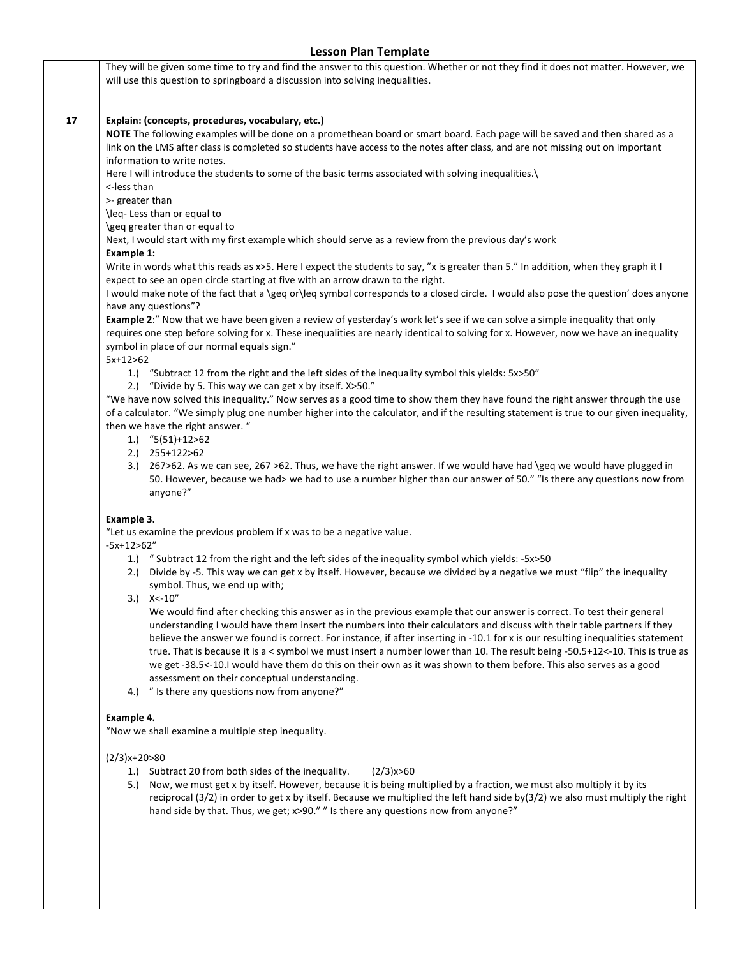## **Lesson Plan Template**

| 17 | Explain: (concepts, procedures, vocabulary, etc.)                                                                                                                                                                     |  |  |  |  |
|----|-----------------------------------------------------------------------------------------------------------------------------------------------------------------------------------------------------------------------|--|--|--|--|
|    | NOTE The following examples will be done on a promethean board or smart board. Each page will be saved and then shared as a                                                                                           |  |  |  |  |
|    | link on the LMS after class is completed so students have access to the notes after class, and are not missing out on important                                                                                       |  |  |  |  |
|    | information to write notes.                                                                                                                                                                                           |  |  |  |  |
|    | Here I will introduce the students to some of the basic terms associated with solving inequalities.)                                                                                                                  |  |  |  |  |
|    | <-less than                                                                                                                                                                                                           |  |  |  |  |
|    | >- greater than                                                                                                                                                                                                       |  |  |  |  |
|    | \leq- Less than or equal to                                                                                                                                                                                           |  |  |  |  |
|    | \geq greater than or equal to                                                                                                                                                                                         |  |  |  |  |
|    | Next, I would start with my first example which should serve as a review from the previous day's work                                                                                                                 |  |  |  |  |
|    |                                                                                                                                                                                                                       |  |  |  |  |
|    | Example 1:                                                                                                                                                                                                            |  |  |  |  |
|    | Write in words what this reads as x>5. Here I expect the students to say, "x is greater than 5." In addition, when they graph it I<br>expect to see an open circle starting at five with an arrow drawn to the right. |  |  |  |  |
|    | I would make note of the fact that a \geq or\leq symbol corresponds to a closed circle. I would also pose the question' does anyone                                                                                   |  |  |  |  |
|    | have any questions"?                                                                                                                                                                                                  |  |  |  |  |
|    |                                                                                                                                                                                                                       |  |  |  |  |
|    | Example 2:" Now that we have been given a review of yesterday's work let's see if we can solve a simple inequality that only                                                                                          |  |  |  |  |
|    | requires one step before solving for x. These inequalities are nearly identical to solving for x. However, now we have an inequality                                                                                  |  |  |  |  |
|    | symbol in place of our normal equals sign."<br>$5x+12>62$                                                                                                                                                             |  |  |  |  |
|    |                                                                                                                                                                                                                       |  |  |  |  |
|    | 1.) "Subtract 12 from the right and the left sides of the inequality symbol this yields: 5x>50"                                                                                                                       |  |  |  |  |
|    | 2.) "Divide by 5. This way we can get x by itself. X>50."                                                                                                                                                             |  |  |  |  |
|    | "We have now solved this inequality." Now serves as a good time to show them they have found the right answer through the use                                                                                         |  |  |  |  |
|    | of a calculator. "We simply plug one number higher into the calculator, and if the resulting statement is true to our given inequality,                                                                               |  |  |  |  |
|    | then we have the right answer. "                                                                                                                                                                                      |  |  |  |  |
|    | 1.) $(5(51)+12>62)$                                                                                                                                                                                                   |  |  |  |  |
|    | 2.) 255+122>62                                                                                                                                                                                                        |  |  |  |  |
|    | 3.) 267>62. As we can see, 267 >62. Thus, we have the right answer. If we would have had \geq we would have plugged in                                                                                                |  |  |  |  |
|    | 50. However, because we had> we had to use a number higher than our answer of 50." "Is there any questions now from                                                                                                   |  |  |  |  |
|    | anyone?"                                                                                                                                                                                                              |  |  |  |  |
|    | Example 3.                                                                                                                                                                                                            |  |  |  |  |
|    | "Let us examine the previous problem if x was to be a negative value.                                                                                                                                                 |  |  |  |  |
|    | $-5x+12>62"$                                                                                                                                                                                                          |  |  |  |  |
|    | 1.) "Subtract 12 from the right and the left sides of the inequality symbol which yields: -5x>50                                                                                                                      |  |  |  |  |
|    | 2.) Divide by -5. This way we can get x by itself. However, because we divided by a negative we must "flip" the inequality                                                                                            |  |  |  |  |
|    | symbol. Thus, we end up with;                                                                                                                                                                                         |  |  |  |  |
|    | $3.)$ X < - 10"                                                                                                                                                                                                       |  |  |  |  |
|    | We would find after checking this answer as in the previous example that our answer is correct. To test their general                                                                                                 |  |  |  |  |
|    | understanding I would have them insert the numbers into their calculators and discuss with their table partners if they                                                                                               |  |  |  |  |
|    | believe the answer we found is correct. For instance, if after inserting in -10.1 for x is our resulting inequalities statement                                                                                       |  |  |  |  |
|    | true. That is because it is a < symbol we must insert a number lower than 10. The result being -50.5+12<-10. This is true as                                                                                          |  |  |  |  |
|    |                                                                                                                                                                                                                       |  |  |  |  |
|    | we get -38.5<-10.I would have them do this on their own as it was shown to them before. This also serves as a good                                                                                                    |  |  |  |  |
|    | assessment on their conceptual understanding.                                                                                                                                                                         |  |  |  |  |
|    | "Is there any questions now from anyone?"<br>4.)                                                                                                                                                                      |  |  |  |  |
|    | Example 4.                                                                                                                                                                                                            |  |  |  |  |
|    | "Now we shall examine a multiple step inequality.                                                                                                                                                                     |  |  |  |  |

5.) Now, we must get x by itself. However, because it is being multiplied by a fraction, we must also multiply it by its reciprocal (3/2) in order to get x by itself. Because we multiplied the left hand side by(3/2) we also must multiply the right hand side by that. Thus, we get; x>90." " Is there any questions now from anyone?"